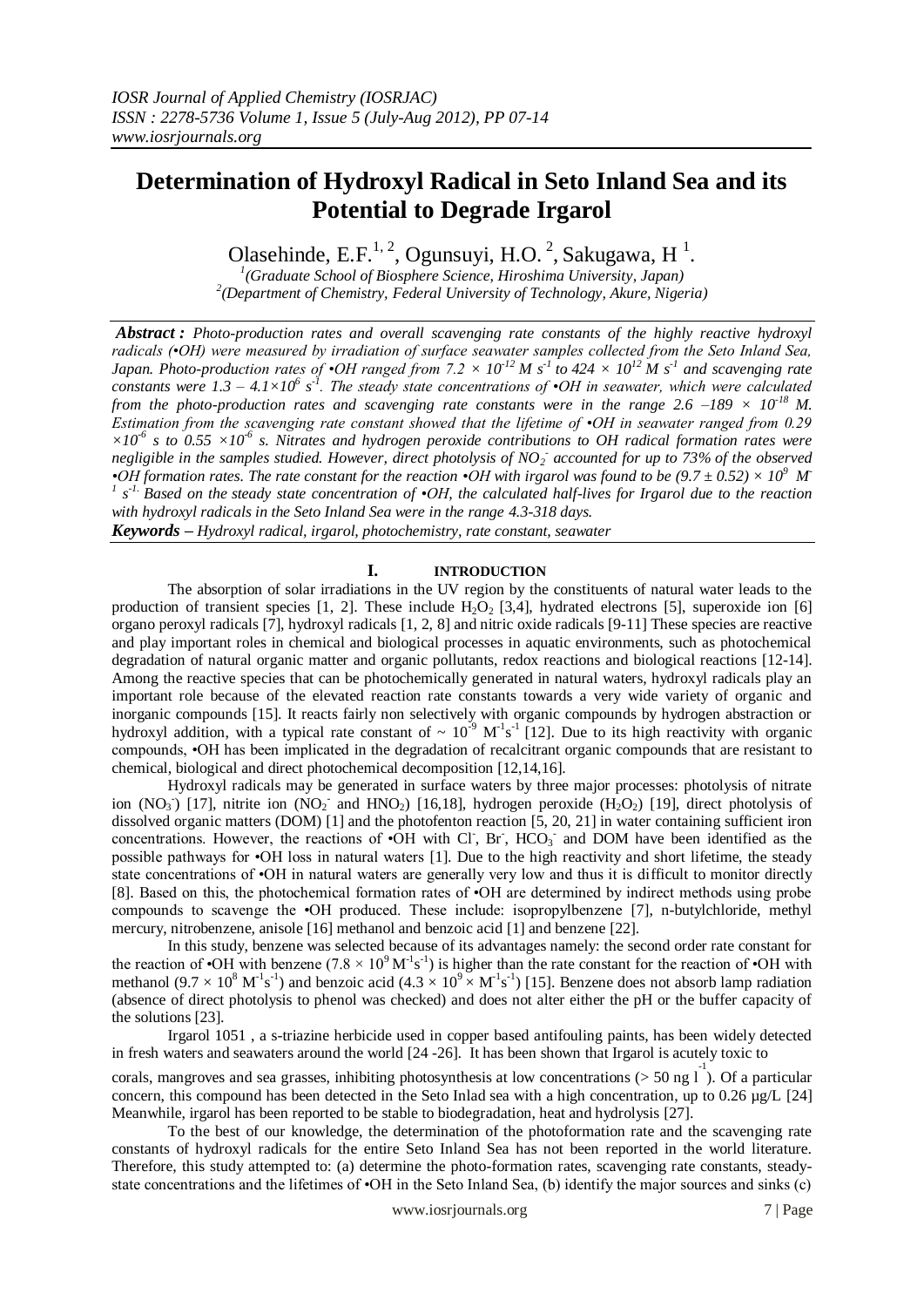# **Determination of Hydroxyl Radical in Seto Inland Sea and its Potential to Degrade Irgarol**

Olasehinde, E.F.<sup>1, 2</sup>, Ogunsuyi, H.O.<sup>2</sup>, Sakugawa, H<sup>1</sup>.

*1 (Graduate School of Biosphere Science, Hiroshima University, Japan) 2 (Department of Chemistry, Federal University of Technology, Akure, Nigeria)*

*Abstract : Photo-production rates and overall scavenging rate constants of the highly reactive hydroxyl radicals (•OH) were measured by irradiation of surface seawater samples collected from the Seto Inland Sea, Japan. Photo-production rates of •OH ranged from 7.2*  $\times 10^{12}$  *M s<sup>-1</sup> to* 424  $\times 10^{12}$  *M s<sup>-1</sup> and scavenging rate constants were*  $1.3 - 4.1 \times 10^6$  *s<sup>1</sup>. The steady state concentrations of •OH in seawater, which were calculated from the photo-production rates and scavenging rate constants were in the range 2.6 –189*  $\times$  *10<sup>-18</sup> M. Estimation from the scavenging rate constant showed that the lifetime of •OH in seawater ranged from 0.29*   $\times 10^{-6}$  s to 0.55  $\times 10^{-6}$  s. Nitrates and hydrogen peroxide contributions to OH radical formation rates were *negligible in the samples studied. However, direct photolysis of NO<sup>2</sup> - accounted for up to 73% of the observed*  • $OH$  *formation rates. The rate constant for the reaction* • $OH$  *with irgarol was found to be* (9.7  $\pm$  0.52)  $\times$  10<sup>9</sup> *M 1 s -1. Based on the steady state concentration of •OH, the calculated half-lives for Irgarol due to the reaction with hydroxyl radicals in the Seto Inland Sea were in the range 4.3-318 days.*

*Keywords – Hydroxyl radical, irgarol, photochemistry, rate constant, seawater*

## **I. INTRODUCTION**

The absorption of solar irradiations in the UV region by the constituents of natural water leads to the production of transient species [1, 2]. These include  $H_2O_2$  [3,4], hydrated electrons [5], superoxide ion [6] organo peroxyl radicals [7], hydroxyl radicals [1, 2, 8] and nitric oxide radicals [9-11] These species are reactive and play important roles in chemical and biological processes in aquatic environments, such as photochemical degradation of natural organic matter and organic pollutants, redox reactions and biological reactions [12-14]. Among the reactive species that can be photochemically generated in natural waters, hydroxyl radicals play an important role because of the elevated reaction rate constants towards a very wide variety of organic and inorganic compounds [15]. It reacts fairly non selectively with organic compounds by hydrogen abstraction or hydroxyl addition, with a typical rate constant of  $\sim 10^{-9}$  M<sup>-1</sup>s<sup>-1</sup> [12]. Due to its high reactivity with organic compounds, •OH has been implicated in the degradation of recalcitrant organic compounds that are resistant to chemical, biological and direct photochemical decomposition [12,14,16].

Hydroxyl radicals may be generated in surface waters by three major processes: photolysis of nitrate ion  $(NO_3^-)$  [17], nitrite ion  $(NO_2^-$  and  $HNO_2)$  [16,18], hydrogen peroxide  $(H_2O_2)$  [19], direct photolysis of dissolved organic matters (DOM) [1] and the photofenton reaction [5, 20, 21] in water containing sufficient iron concentrations. However, the reactions of  $\cdot$ OH with Cl, Br, HCO<sub>3</sub> and DOM have been identified as the possible pathways for •OH loss in natural waters [1]. Due to the high reactivity and short lifetime, the steady state concentrations of •OH in natural waters are generally very low and thus it is difficult to monitor directly [8]. Based on this, the photochemical formation rates of •OH are determined by indirect methods using probe compounds to scavenge the •OH produced. These include: isopropylbenzene [7], n-butylchloride, methyl mercury, nitrobenzene, anisole [16] methanol and benzoic acid [1] and benzene [22].

In this study, benzene was selected because of its advantages namely: the second order rate constant for the reaction of •OH with benzene  $(7.8 \times 10^9 \text{ M}^{-1} \text{s}^{-1})$  is higher than the rate constant for the reaction of •OH with methanol  $(9.7 \times 10^8 \text{ M}^1 \text{s}^{-1})$  and benzoic acid  $(4.3 \times 10^9 \times \text{M}^1 \text{s}^{-1})$  [15]. Benzene does not absorb lamp radiation (absence of direct photolysis to phenol was checked) and does not alter either the pH or the buffer capacity of the solutions [23].

Irgarol 1051 , a s-triazine herbicide used in copper based antifouling paints, has been widely detected in fresh waters and seawaters around the world [24 -26]. It has been shown that Irgarol is acutely toxic to

corals, mangroves and sea grasses, inhibiting photosynthesis at low concentrations ( $>$  50 ng l<sup>-1</sup>). Of a particular concern, this compound has been detected in the Seto Inlad sea with a high concentration, up to 0.26 µg/L [24] Meanwhile, irgarol has been reported to be stable to biodegradation, heat and hydrolysis [27].

To the best of our knowledge, the determination of the photoformation rate and the scavenging rate constants of hydroxyl radicals for the entire Seto Inland Sea has not been reported in the world literature. Therefore, this study attempted to: (a) determine the photo-formation rates, scavenging rate constants, steadystate concentrations and the lifetimes of •OH in the Seto Inland Sea, (b) identify the major sources and sinks (c)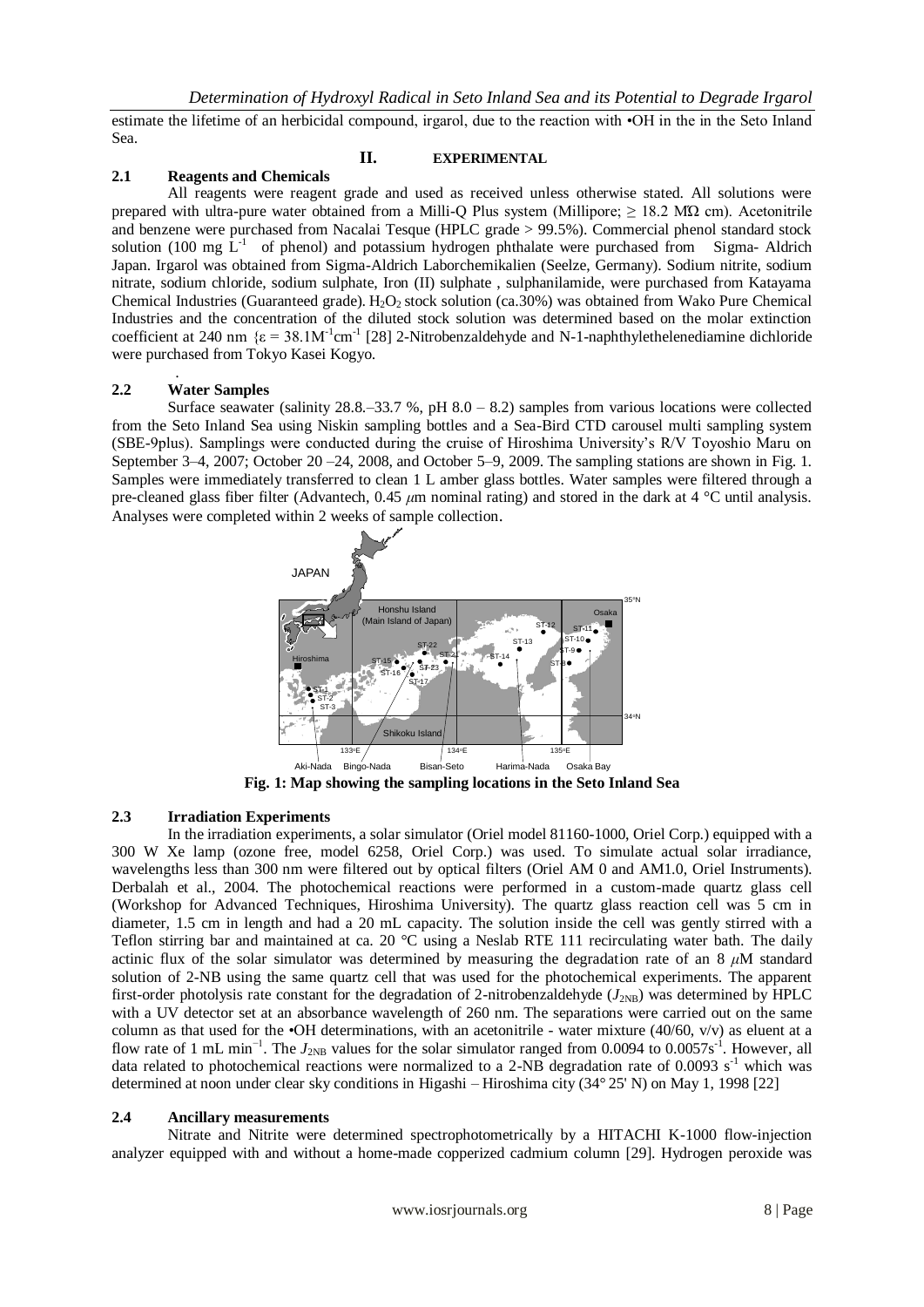estimate the lifetime of an herbicidal compound, irgarol, due to the reaction with •OH in the in the Seto Inland Sea.

## **II. EXPERIMENTAL**

## **2.1 Reagents and Chemicals**

All reagents were reagent grade and used as received unless otherwise stated. All solutions were prepared with ultra-pure water obtained from a Milli-Q Plus system (Millipore;  $\geq 18.2$  M $\Omega$  cm). Acetonitrile and benzene were purchased from Nacalai Tesque (HPLC grade > 99.5%). Commercial phenol standard stock solution (100 mg  $\tilde{L}^{-1}$  of phenol) and potassium hydrogen phthalate were purchased from Sigma- Aldrich Japan. Irgarol was obtained from Sigma-Aldrich Laborchemikalien (Seelze, Germany). Sodium nitrite, sodium nitrate, sodium chloride, sodium sulphate, Iron (II) sulphate , sulphanilamide, were purchased from Katayama Chemical Industries (Guaranteed grade). H<sub>2</sub>O<sub>2</sub> stock solution (ca.30%) was obtained from Wako Pure Chemical Industries and the concentration of the diluted stock solution was determined based on the molar extinction coefficient at 240 nm  $\{\varepsilon = 38.1M^{-1}cm^{-1}$  [28] 2-Nitrobenzaldehyde and N-1-naphthylethelenediamine dichloride were purchased from Tokyo Kasei Kogyo.

## **2.2 Water Samples**

.

Surface seawater (salinity  $28.8 - 33.7$  %, pH  $8.0 - 8.2$ ) samples from various locations were collected from the Seto Inland Sea using Niskin sampling bottles and a Sea-Bird CTD carousel multi sampling system (SBE-9plus). Samplings were conducted during the cruise of Hiroshima University's R/V Toyoshio Maru on September 3–4, 2007; October 20 –24, 2008, and October 5–9, 2009. The sampling stations are shown in Fig. 1. Samples were immediately transferred to clean 1 L amber glass bottles. Water samples were filtered through a pre-cleaned glass fiber filter (Advantech, 0.45 *μ*m nominal rating) and stored in the dark at 4 °C until analysis. Analyses were completed within 2 weeks of sample collection.



**Fig. 1: Map showing the sampling locations in the Seto Inland Sea**

# **2.3 Irradiation Experiments**

In the irradiation experiments, a solar simulator (Oriel model 81160-1000, Oriel Corp.) equipped with a 300 W Xe lamp (ozone free, model 6258, Oriel Corp.) was used. To simulate actual solar irradiance, wavelengths less than 300 nm were filtered out by optical filters (Oriel AM 0 and AM1.0, Oriel Instruments). Derbalah et al., 2004. The photochemical reactions were performed in a custom-made quartz glass cell (Workshop for Advanced Techniques, Hiroshima University). The quartz glass reaction cell was 5 cm in diameter, 1.5 cm in length and had a 20 mL capacity. The solution inside the cell was gently stirred with a Teflon stirring bar and maintained at ca. 20 °C using a Neslab RTE 111 recirculating water bath. The daily actinic flux of the solar simulator was determined by measuring the degradation rate of an  $8 \mu M$  standard solution of 2-NB using the same quartz cell that was used for the photochemical experiments. The apparent first-order photolysis rate constant for the degradation of 2-nitrobenzaldehyde  $(J_{2NB})$  was determined by HPLC with a UV detector set at an absorbance wavelength of 260 nm. The separations were carried out on the same column as that used for the  $\cdot$ OH determinations, with an acetonitrile - water mixture (40/60, v/v) as eluent at a flow rate of 1 mL min<sup>-1</sup>. The  $J_{2NB}$  values for the solar simulator ranged from 0.0094 to 0.0057s<sup>-1</sup>. However, all data related to photochemical reactions were normalized to a 2-NB degradation rate of 0.0093  $s^{-1}$  which was determined at noon under clear sky conditions in Higashi – Hiroshima city (34° 25' N) on May 1, 1998 [22]

## **2.4 Ancillary measurements**

Nitrate and Nitrite were determined spectrophotometrically by a HITACHI K-1000 flow-injection analyzer equipped with and without a home-made copperized cadmium column [29]. Hydrogen peroxide was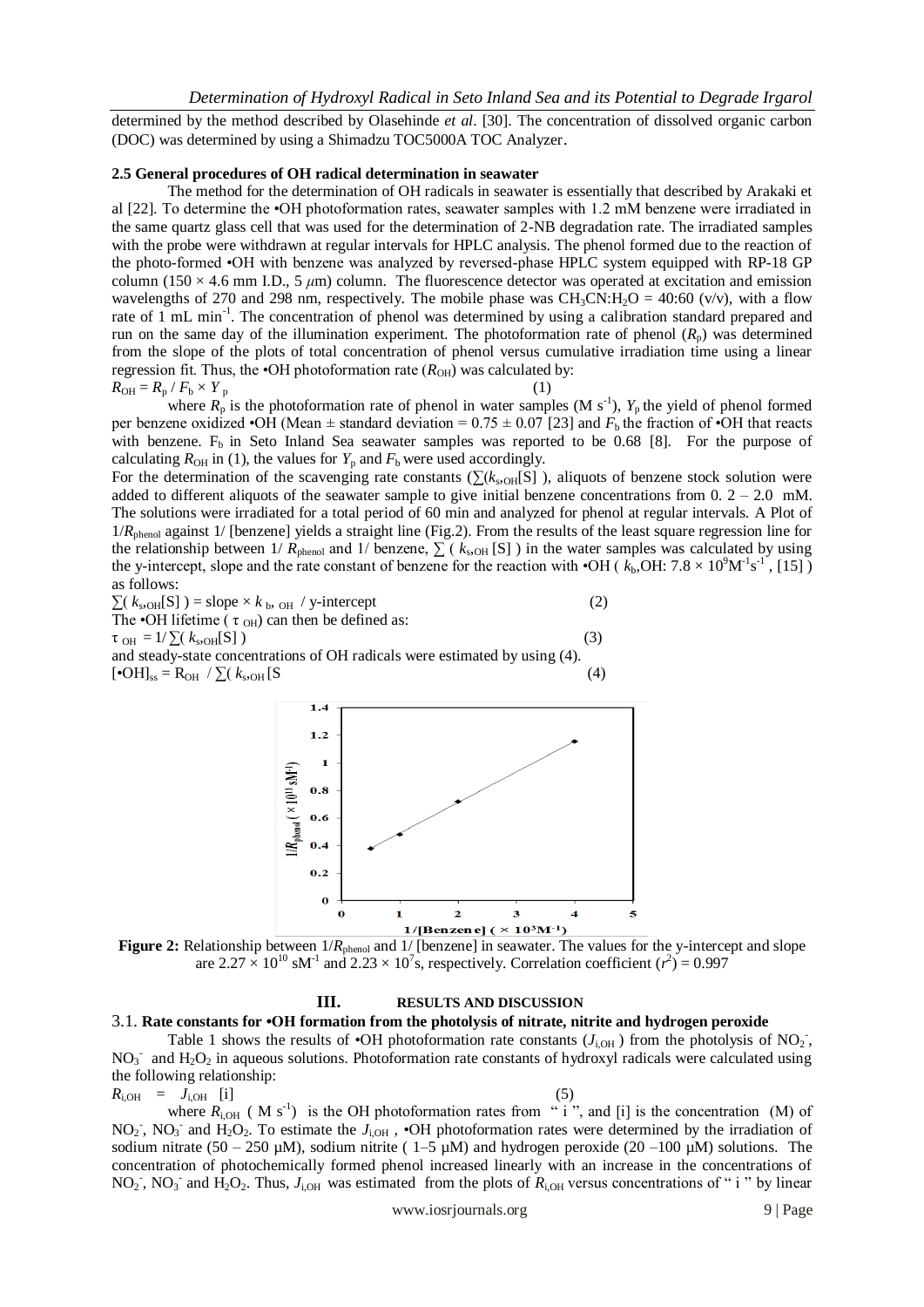determined by the method described by Olasehinde *et al*. [30]. The concentration of dissolved organic carbon (DOC) was determined by using a Shimadzu TOC5000A TOC Analyzer.

#### **2.5 General procedures of OH radical determination in seawater**

The method for the determination of OH radicals in seawater is essentially that described by Arakaki et al [22]. To determine the •OH photoformation rates, seawater samples with 1.2 mM benzene were irradiated in the same quartz glass cell that was used for the determination of 2-NB degradation rate. The irradiated samples with the probe were withdrawn at regular intervals for HPLC analysis. The phenol formed due to the reaction of the photo-formed •OH with benzene was analyzed by reversed-phase HPLC system equipped with RP-18 GP column (150  $\times$  4.6 mm I.D., 5  $\mu$ m) column. The fluorescence detector was operated at excitation and emission wavelengths of 270 and 298 nm, respectively. The mobile phase was  $CH_3CN:H_2O = 40:60$  (v/v), with a flow rate of 1 mL min<sup>-1</sup>. The concentration of phenol was determined by using a calibration standard prepared and run on the same day of the illumination experiment. The photoformation rate of phenol  $(R_n)$  was determined from the slope of the plots of total concentration of phenol versus cumulative irradiation time using a linear regression fit. Thus, the  $\cdot$ OH photoformation rate ( $R_{OH}$ ) was calculated by:  $R_{\text{OH}} = R_{\text{p}} / F_{\text{b}} \times Y_{\text{p}}$ 

where  $R_p$  is the photoformation rate of phenol in water samples (M s<sup>-1</sup>),  $Y_p$  the yield of phenol formed per benzene oxidized •OH (Mean  $\pm$  standard deviation = 0.75  $\pm$  0.07 [23] and  $F_b$  the fraction of •OH that reacts with benzene.  $F_b$  in Seto Inland Sea seawater samples was reported to be 0.68 [8]. For the purpose of calculating  $R_{OH}$  in (1), the values for  $Y_p$  and  $F_b$  were used accordingly.

For the determination of the scavenging rate constants ( $\sum (k_{s,OH}[S])$ ), aliquots of benzene stock solution were added to different aliquots of the seawater sample to give initial benzene concentrations from  $0. 2 - 2.0$  mM. The solutions were irradiated for a total period of 60 min and analyzed for phenol at regular intervals. A Plot of 1/*R*<sub>phenol</sub> against 1/ [benzene] yields a straight line (Fig.2). From the results of the least square regression line for the relationship between 1/  $R_{\text{phenol}}$  and 1/ benzene,  $\sum$  ( $k_{\text{sOH}}$  [S]) in the water samples was calculated by using the y-intercept, slope and the rate constant of benzene for the reaction with  $\cdot$ OH ( $k_b$ ,OH:  $7.8 \times 10^9$ M<sup>-1</sup>s<sup>-1</sup>, [15]) as follows:

 $\sum (k_{\rm s, OH}[S]) =$  slope ×  $k_{\rm b, OH}$  / y-intercept (2) The •OH lifetime ( $\tau$ <sub>OH</sub>) can then be defined as:  $\tau_{\text{OH}} = 1/\sum (k_{\text{s} \cdot \text{OH}}[S])$  (3) and steady-state concentrations of OH radicals were estimated by using (4).  $[e\text{OH}]_{ss} = R_{OH} / \sum (k_{s,\text{OH}}[S]$  $_{\text{OH}}$  [S (4)



**Figure 2:** Relationship between  $1/R_{\text{phenol}}$  and  $1/$  [benzene] in seawater. The values for the y-intercept and slope are  $2.27 \times 10^{10}$  sM<sup>-1</sup> and  $2.23 \times 10^{7}$ s, respectively. Correlation coefficient ( $r^2$ ) = 0.997

#### **III. RESULTS AND DISCUSSION**

#### 3.1. **Rate constants for •OH formation from the photolysis of nitrate, nitrite and hydrogen peroxide**

Table 1 shows the results of  $\cdot$ OH photoformation rate constants ( $J_{i,OH}$ ) from the photolysis of NO<sub>2</sub>,  $NO<sub>3</sub>$  and  $H<sub>2</sub>O<sub>2</sub>$  in aqueous solutions. Photoformation rate constants of hydroxyl radicals were calculated using the following relationship:

$$
R_{i, \text{OH}} = J_{i, \text{OH}} \quad [i] \tag{5}
$$

where  $R_{i,OH}$  (M s<sup>-1</sup>) is the OH photoformation rates from "i", and [i] is the concentration (M) of NO<sub>2</sub>, NO<sub>3</sub> and H<sub>2</sub>O<sub>2</sub>. To estimate the  $J_{i,OH}$ , •OH photoformation rates were determined by the irradiation of sodium nitrate (50 – 250 µM), sodium nitrite (  $1-5$  µM) and hydrogen peroxide (20 –100 µM) solutions. The concentration of photochemically formed phenol increased linearly with an increase in the concentrations of NO<sub>2</sub>, NO<sub>3</sub> and H<sub>2</sub>O<sub>2</sub>. Thus,  $J_{i,OH}$  was estimated from the plots of  $R_{i,OH}$  versus concentrations of " i " by linear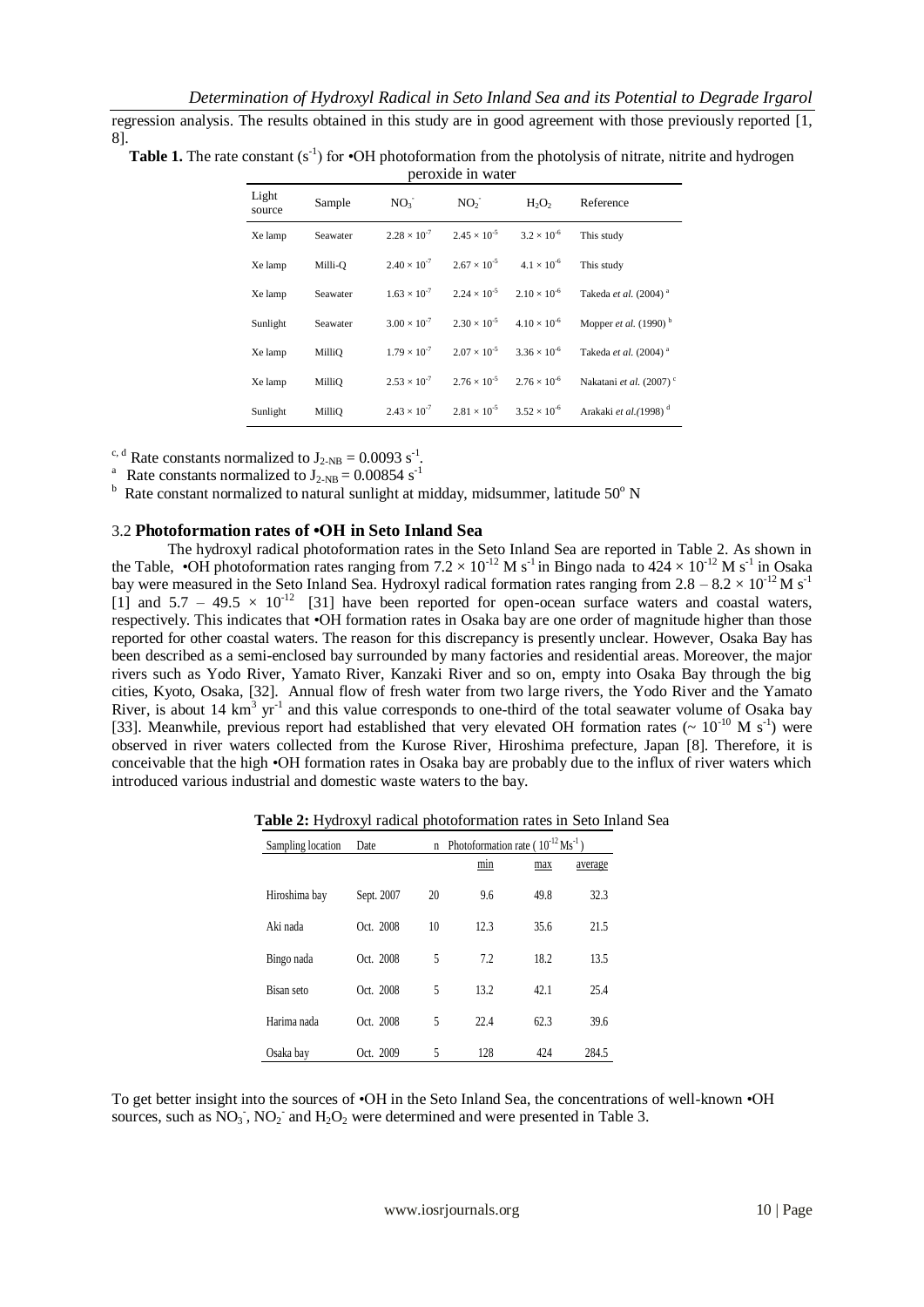regression analysis. The results obtained in this study are in good agreement with those previously reported [1, 8].

**Table 1.** The rate constant  $(s^{-1})$  for  $\cdot$ OH photoformation from the photolysis of nitrate, nitrite and hydrogen peroxide in water

| Light<br>source | Sample   | NO <sub>3</sub> | NO <sub>2</sub>                                                   | $H_2O_2$                                                          | Reference                           |
|-----------------|----------|-----------------|-------------------------------------------------------------------|-------------------------------------------------------------------|-------------------------------------|
| Xe lamp         | Seawater |                 |                                                                   | $2.28 \times 10^{-7}$ $2.45 \times 10^{-5}$ $3.2 \times 10^{-6}$  | This study                          |
| Xe lamp         | Milli-O  |                 |                                                                   | $2.40 \times 10^{-7}$ $2.67 \times 10^{-5}$ $4.1 \times 10^{-6}$  | This study                          |
| Xe lamp         | Seawater |                 |                                                                   | $1.63 \times 10^{-7}$ $2.24 \times 10^{-5}$ $2.10 \times 10^{-6}$ | Takeda et al. (2004) <sup>a</sup>   |
| Sunlight        | Seawater |                 | $3.00 \times 10^{-7}$ $2.30 \times 10^{-5}$ $4.10 \times 10^{-6}$ |                                                                   | Mopper <i>et al.</i> $(1990)^{b}$   |
| Xe lamp         | MilliO   |                 | $1.79 \times 10^{-7}$ $2.07 \times 10^{-5}$ $3.36 \times 10^{-6}$ |                                                                   | Takeda et al. (2004) <sup>a</sup>   |
| Xe lamp         | MilliO   |                 |                                                                   | $2.53 \times 10^{-7}$ $2.76 \times 10^{-5}$ $2.76 \times 10^{-6}$ | Nakatani et al. (2007) <sup>c</sup> |
| Sunlight        | MilliO   |                 | $2.43 \times 10^{-7}$ $2.81 \times 10^{-5}$ $3.52 \times 10^{-6}$ |                                                                   | Arakaki et al.(1998) <sup>d</sup>   |

<sup>c, d</sup> Rate constants normalized to  $J_{2-NB} = 0.0093 s^{-1}$ .

<sup>a</sup> Rate constants normalized to  $J_{2-NB} = 0.00854$  s<sup>-1</sup>

 $h$  Rate constant normalized to natural sunlight at midday, midsummer, latitude 50 $^{\circ}$  N

#### 3.2 **Photoformation rates of •OH in Seto Inland Sea**

The hydroxyl radical photoformation rates in the Seto Inland Sea are reported in Table 2. As shown in the Table, •OH photoformation rates ranging from  $7.2 \times 10^{-12}$  M s<sup>-1</sup> in Bingo nada to  $424 \times 10^{-12}$  M s<sup>-1</sup> in Osaka bay were measured in the Seto Inland Sea. Hydroxyl radical formation rates ranging from  $2.8 - 8.2 \times 10^{-12}$  M s<sup>-1</sup> [1] and  $5.7 - 49.5 \times 10^{-12}$  [31] have been reported for open-ocean surface waters and coastal waters, respectively. This indicates that •OH formation rates in Osaka bay are one order of magnitude higher than those reported for other coastal waters. The reason for this discrepancy is presently unclear. However, Osaka Bay has been described as a semi-enclosed bay surrounded by many factories and residential areas. Moreover, the major rivers such as Yodo River, Yamato River, Kanzaki River and so on, empty into Osaka Bay through the big cities, Kyoto, Osaka, [32]. Annual flow of fresh water from two large rivers, the Yodo River and the Yamato River, is about 14  $\text{km}^3$  yr<sup>-1</sup> and this value corresponds to one-third of the total seawater volume of Osaka bay [33]. Meanwhile, previous report had established that very elevated OH formation rates ( $\sim 10^{-10}$  M s<sup>-1</sup>) were observed in river waters collected from the Kurose River, Hiroshima prefecture, Japan [8]. Therefore, it is conceivable that the high •OH formation rates in Osaka bay are probably due to the influx of river waters which introduced various industrial and domestic waste waters to the bay.

**Table 2:** Hydroxyl radical photoformation rates in Seto Inland Sea

| Sampling location | Date       | Photoformation rate ( $10^{-12}$ Ms <sup>-1</sup> ) |      |      |         |
|-------------------|------------|-----------------------------------------------------|------|------|---------|
|                   |            |                                                     | min  | max  | average |
| Hiroshima bay     | Sept. 2007 | 20                                                  | 9.6  | 49.8 | 32.3    |
| Aki nada          | Oct. 2008  | 10                                                  | 12.3 | 35.6 | 21.5    |
| Bingo nada        | Oct. 2008  | 5                                                   | 7.2  | 18.2 | 13.5    |
| Bisan seto        | Oct. 2008  | 5                                                   | 13.2 | 42.1 | 25.4    |
| Harima nada       | Oct. 2008  | 5                                                   | 22.4 | 62.3 | 39.6    |
| Osaka bay         | Oct. 2009  | 5                                                   | 128  | 424  | 284.5   |

To get better insight into the sources of •OH in the Seto Inland Sea, the concentrations of well-known •OH sources, such as  $NO_3$ ,  $NO_2$  and  $H_2O_2$  were determined and were presented in Table 3.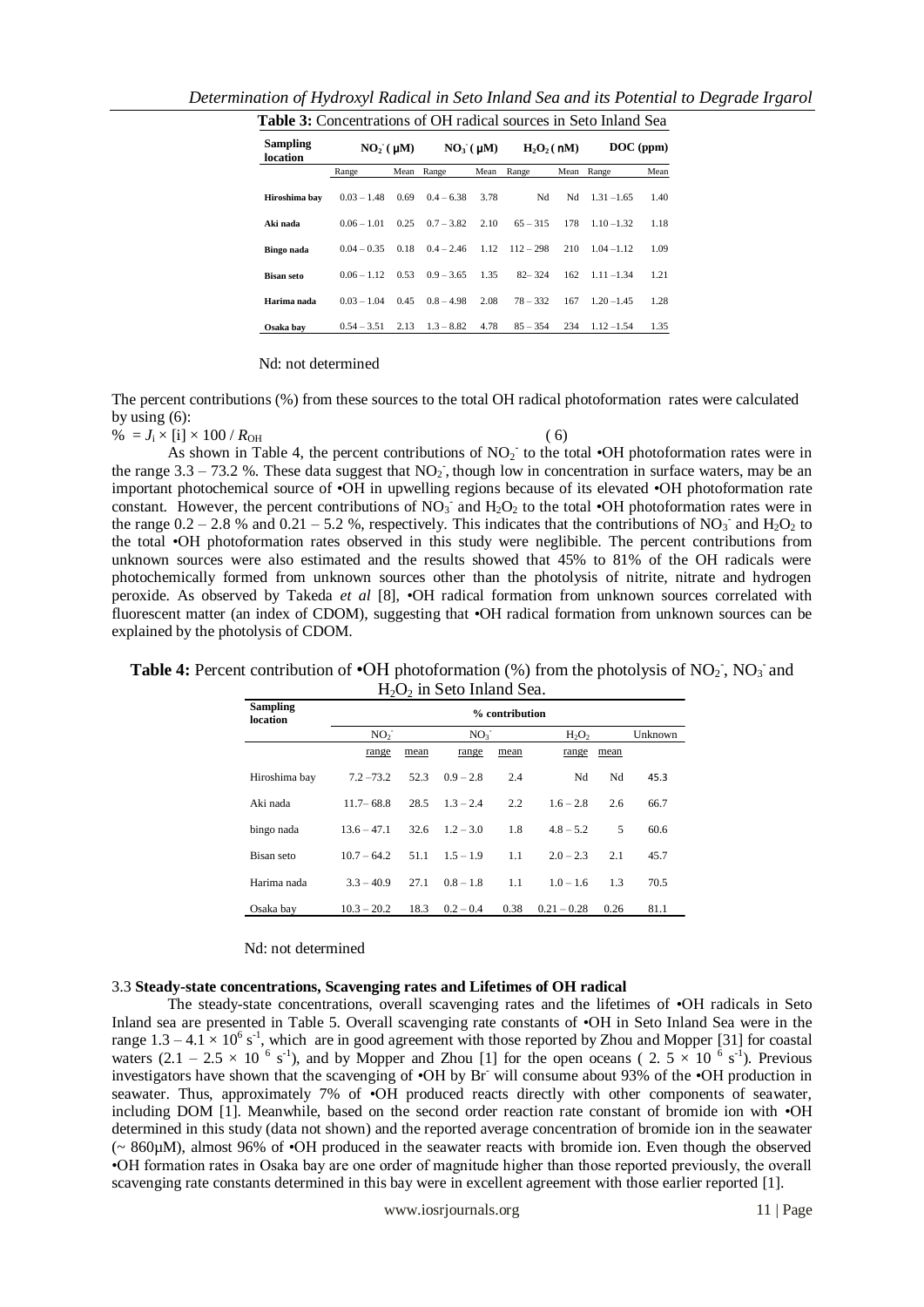| <b>Table 3:</b> Concentrations of OH radical sources in Seto Inland Sea |                      |      |                |      |               |      |               |      |  |  |
|-------------------------------------------------------------------------|----------------------|------|----------------|------|---------------|------|---------------|------|--|--|
| <b>Sampling</b><br>location                                             | NO <sub>2</sub> (µM) |      | $NO3$ ( $µM$ ) |      | $H_2O_2($ nM) |      | $DOC$ (ppm)   |      |  |  |
|                                                                         | Range                | Mean | Range          | Mean | Range         | Mean | Range         | Mean |  |  |
| Hiroshima bay                                                           | $0.03 - 1.48$        | 0.69 | $0.4 - 6.38$   | 3.78 | Nd            | Nd   | $1.31 - 1.65$ | 1.40 |  |  |
| Aki nada                                                                | $0.06 - 1.01$        | 0.25 | $0.7 - 3.82$   | 2.10 | $65 - 315$    | 178  | $1.10 - 1.32$ | 1.18 |  |  |
| Bingo nada                                                              | $0.04 - 0.35$        | 0.18 | $0.4 - 2.46$   | 1.12 | $112 - 298$   | 210  | $1.04 - 1.12$ | 1.09 |  |  |
| <b>Bisan seto</b>                                                       | $0.06 - 1.12$        | 0.53 | $0.9 - 3.65$   | 1.35 | $82 - 324$    | 162  | $1.11 - 1.34$ | 1.21 |  |  |
| Harima nada                                                             | $0.03 - 1.04$        | 0.45 | $0.8 - 4.98$   | 2.08 | $78 - 332$    | 167  | $1.20 - 1.45$ | 1.28 |  |  |
| Osaka bav                                                               | $0.54 - 3.51$        | 2.13 | $1.3 - 8.82$   | 4.78 | $85 - 354$    | 234  | $1.12 - 1.54$ | 1.35 |  |  |

*Determination of Hydroxyl Radical in Seto Inland Sea and its Potential to Degrade Irgarol*

## Nd: not determined

The percent contributions (%) from these sources to the total OH radical photoformation rates were calculated by using  $(6)$ :

 $\% = J_i \times [i] \times 100 / R_{OH}$  ( 6)

As shown in Table 4, the percent contributions of  $NO<sub>2</sub>$  to the total •OH photoformation rates were in the range 3.3 – 73.2 %. These data suggest that  $NO_2$ , though low in concentration in surface waters, may be an important photochemical source of •OH in upwelling regions because of its elevated •OH photoformation rate constant. However, the percent contributions of  $NO_3^-$  and  $H_2O_2$  to the total •OH photoformation rates were in the range  $0.2 - 2.8$  % and  $0.21 - 5.2$  %, respectively. This indicates that the contributions of NO<sub>3</sub> and H<sub>2</sub>O<sub>2</sub> to the total •OH photoformation rates observed in this study were neglibible. The percent contributions from unknown sources were also estimated and the results showed that 45% to 81% of the OH radicals were photochemically formed from unknown sources other than the photolysis of nitrite, nitrate and hydrogen peroxide. As observed by Takeda *et al* [8], •OH radical formation from unknown sources correlated with fluorescent matter (an index of CDOM), suggesting that •OH radical formation from unknown sources can be explained by the photolysis of CDOM.

| <b>Sampling</b><br>location | <u>. - .</u><br>% contribution |      |                 |      |               |      |      |  |  |  |
|-----------------------------|--------------------------------|------|-----------------|------|---------------|------|------|--|--|--|
|                             | NO <sub>2</sub>                |      | NO <sub>3</sub> |      | $H_2O_2$      |      |      |  |  |  |
|                             | range                          | mean | range           | mean | range         | mean |      |  |  |  |
| Hiroshima bay               | $7.2 - 73.2$                   | 52.3 | $0.9 - 2.8$     | 2.4  | Nd            | Nd   | 45.3 |  |  |  |
| Aki nada                    | $11.7 - 68.8$                  | 28.5 | $1.3 - 2.4$     | 2.2  | $1.6 - 2.8$   | 2.6  | 66.7 |  |  |  |
| bingo nada                  | $13.6 - 47.1$                  | 32.6 | $1.2 - 3.0$     | 1.8  | $4.8 - 5.2$   | 5    | 60.6 |  |  |  |
| Bisan seto                  | $10.7 - 64.2$                  | 51.1 | $1.5 - 1.9$     | 1.1  | $2.0 - 2.3$   | 2.1  | 45.7 |  |  |  |
| Harima nada                 | $3.3 - 40.9$                   | 27.1 | $0.8 - 1.8$     | 1.1  | $1.0 - 1.6$   | 1.3  | 70.5 |  |  |  |
| Osaka bay                   | $10.3 - 20.2$                  | 18.3 | $0.2 - 0.4$     | 0.38 | $0.21 - 0.28$ | 0.26 | 81.1 |  |  |  |

Table 4: Percent contribution of  $\cdot$ OH photoformation (%) from the photolysis of NO<sub>2</sub>, NO<sub>3</sub> and  $H<sub>2</sub>O<sub>2</sub>$  in Seto Inland Sea.

Nd: not determined

## 3.3 **Steady-state concentrations, Scavenging rates and Lifetimes of OH radical**

The steady-state concentrations, overall scavenging rates and the lifetimes of •OH radicals in Seto Inland sea are presented in Table 5. Overall scavenging rate constants of •OH in Seto Inland Sea were in the range  $1.3 - 4.1 \times 10^6$  s<sup>-1</sup>, which are in good agreement with those reported by Zhou and Mopper [31] for coastal waters  $(2.1 - 2.5 \times 10^{-6} \text{ s}^{-1})$ , and by Mopper and Zhou [1] for the open oceans (2.  $5 \times 10^{-6} \text{ s}^{-1}$ ). Previous investigators have shown that the scavenging of •OH by Br will consume about 93% of the •OH production in seawater. Thus, approximately 7% of  $\cdot$ OH produced reacts directly with other components of seawater, including DOM [1]. Meanwhile, based on the second order reaction rate constant of bromide ion with •OH determined in this study (data not shown) and the reported average concentration of bromide ion in the seawater (~ 860µM), almost 96% of •OH produced in the seawater reacts with bromide ion. Even though the observed •OH formation rates in Osaka bay are one order of magnitude higher than those reported previously, the overall scavenging rate constants determined in this bay were in excellent agreement with those earlier reported [1].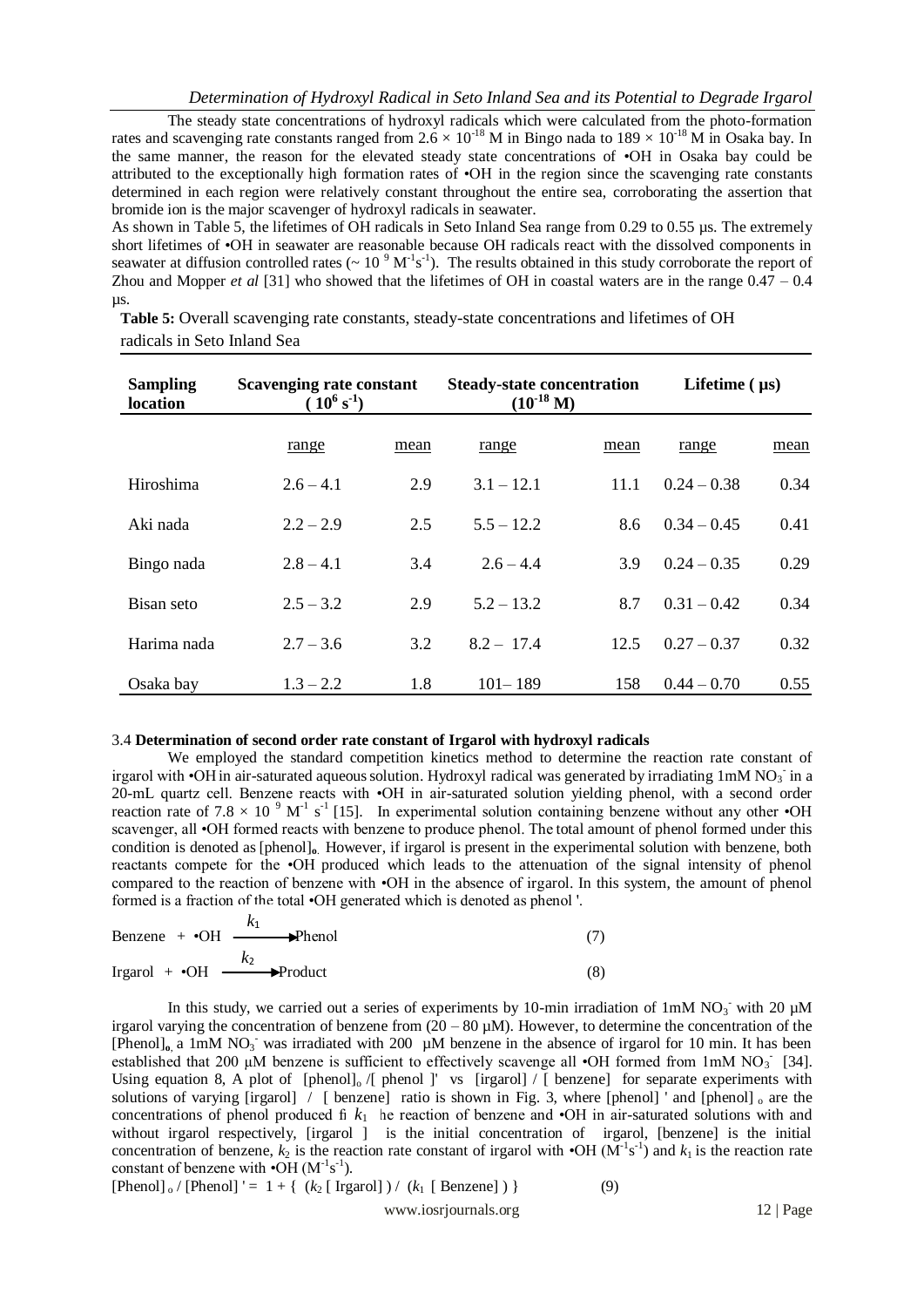The steady state concentrations of hydroxyl radicals which were calculated from the photo-formation rates and scavenging rate constants ranged from  $2.6 \times 10^{-18}$  M in Bingo nada to  $189 \times 10^{-18}$  M in Osaka bay. In the same manner, the reason for the elevated steady state concentrations of •OH in Osaka bay could be attributed to the exceptionally high formation rates of •OH in the region since the scavenging rate constants determined in each region were relatively constant throughout the entire sea, corroborating the assertion that bromide ion is the major scavenger of hydroxyl radicals in seawater.

As shown in Table 5, the lifetimes of OH radicals in Seto Inland Sea range from 0.29 to 0.55 µs. The extremely short lifetimes of •OH in seawater are reasonable because OH radicals react with the dissolved components in seawater at diffusion controlled rates ( $\sim 10^{-9} \text{ M}^{-1} \text{s}^{-1}$ ). The results obtained in this study corroborate the report of Zhou and Mopper *et al* [31] who showed that the lifetimes of OH in coastal waters are in the range  $0.47 - 0.4$ µs.

**Table 5:** Overall scavenging rate constants, steady-state concentrations and lifetimes of OH radicals in Seto Inland Sea

| <b>Sampling</b><br>location | Scavenging rate constant<br>$(10^6 s^{-1})$ | <b>Steady-state concentration</b><br>$(10^{-18} M)$ |              | Lifetime $(\mu s)$ |               |      |
|-----------------------------|---------------------------------------------|-----------------------------------------------------|--------------|--------------------|---------------|------|
|                             | range                                       | mean                                                | range        | mean               | range         | mean |
| Hiroshima                   | $2.6 - 4.1$                                 | 2.9                                                 | $3.1 - 12.1$ | 11.1               | $0.24 - 0.38$ | 0.34 |
| Aki nada                    | $2.2 - 2.9$                                 | 2.5                                                 | $5.5 - 12.2$ | 8.6                | $0.34 - 0.45$ | 0.41 |
| Bingo nada                  | $2.8 - 4.1$                                 | 3.4                                                 | $2.6 - 4.4$  | 3.9                | $0.24 - 0.35$ | 0.29 |
| Bisan seto                  | $2.5 - 3.2$                                 | 2.9                                                 | $5.2 - 13.2$ | 8.7                | $0.31 - 0.42$ | 0.34 |
| Harima nada                 | $2.7 - 3.6$                                 | 3.2                                                 | $8.2 - 17.4$ | 12.5               | $0.27 - 0.37$ | 0.32 |
| Osaka bay                   | $1.3 - 2.2$                                 | 1.8                                                 | $101 - 189$  | 158                | $0.44 - 0.70$ | 0.55 |

## 3.4 **Determination of second order rate constant of Irgarol with hydroxyl radicals**

We employed the standard competition kinetics method to determine the reaction rate constant of irgarol with •OH in air-saturated aqueous solution. Hydroxyl radical was generated by irradiating 1mM NO<sub>3</sub> in a 20-mL quartz cell. Benzene reacts with •OH in air-saturated solution yielding phenol, with a second order reaction rate of 7.8  $\times$  10<sup>°</sup> M<sup>-1</sup> s<sup>-1</sup> [15]. In experimental solution containing benzene without any other •OH scavenger, all •OH formed reacts with benzene to produce phenol. The total amount of phenol formed under this condition is denoted as [phenol]**o**. However, if irgarol is present in the experimental solution with benzene, both reactants compete for the •OH produced which leads to the attenuation of the signal intensity of phenol compared to the reaction of benzene with •OH in the absence of irgarol. In this system, the amount of phenol formed is a fraction of the total •OH generated which is denoted as phenol '.

Benzene + 
$$
\cdot
$$
OH  $\xrightarrow{k_1}$   $\rightarrow$  Phenol

\nIrgarol +  $\cdot$ OH  $\xrightarrow{k_2}$   $\rightarrow$  Product

\n(8)

In this study, we carried out a series of experiments by 10-min irradiation of  $1 \text{mM}$  NO<sub>3</sub> with 20  $\mu$ M irgarol varying the concentration of benzene from  $(20 - 80 \mu)$ . However, to determine the concentration of the [Phenol]<sub>o, a</sub> 1mM NO<sub>3</sub> was irradiated with 200 µM benzene in the absence of irgarol for 10 min. It has been established that 200  $\mu$ M benzene is sufficient to effectively scavenge all •OH formed from 1mM NO<sub>3</sub> [34]. Using equation 8, A plot of [phenol] $_0$  /[ phenol ]' vs [irgarol]  $\sqrt{ }$  [ benzene] for separate experiments with solutions of varying  $\lim_{n \to \infty}$  [benzene] ratio is shown in Fig. 3, where [phenol] and [phenol]  $\sin$  are the concentrations of phenol produced  $f(x)$  he reaction of benzene and  $\cdot$ OH in air-saturated solutions with and without irgarol respectively, [irgarol ] is the initial concentration of irgarol, [benzene] is the initial concentration of benzene,  $k_2$  is the reaction rate constant of irgarol with  $\cdot$ OH (M<sup>-1</sup>s<sup>-1</sup>) and  $k_1$  is the reaction rate constant of benzene with  $\cdot$ OH ( $M^{-1}s^{-1}$ ).

$$
[Phenol]_o / [Phenol]' = 1 + { (k_2 [~Irgarol]) / (k_1 [~Benzene]) }
$$
 (9)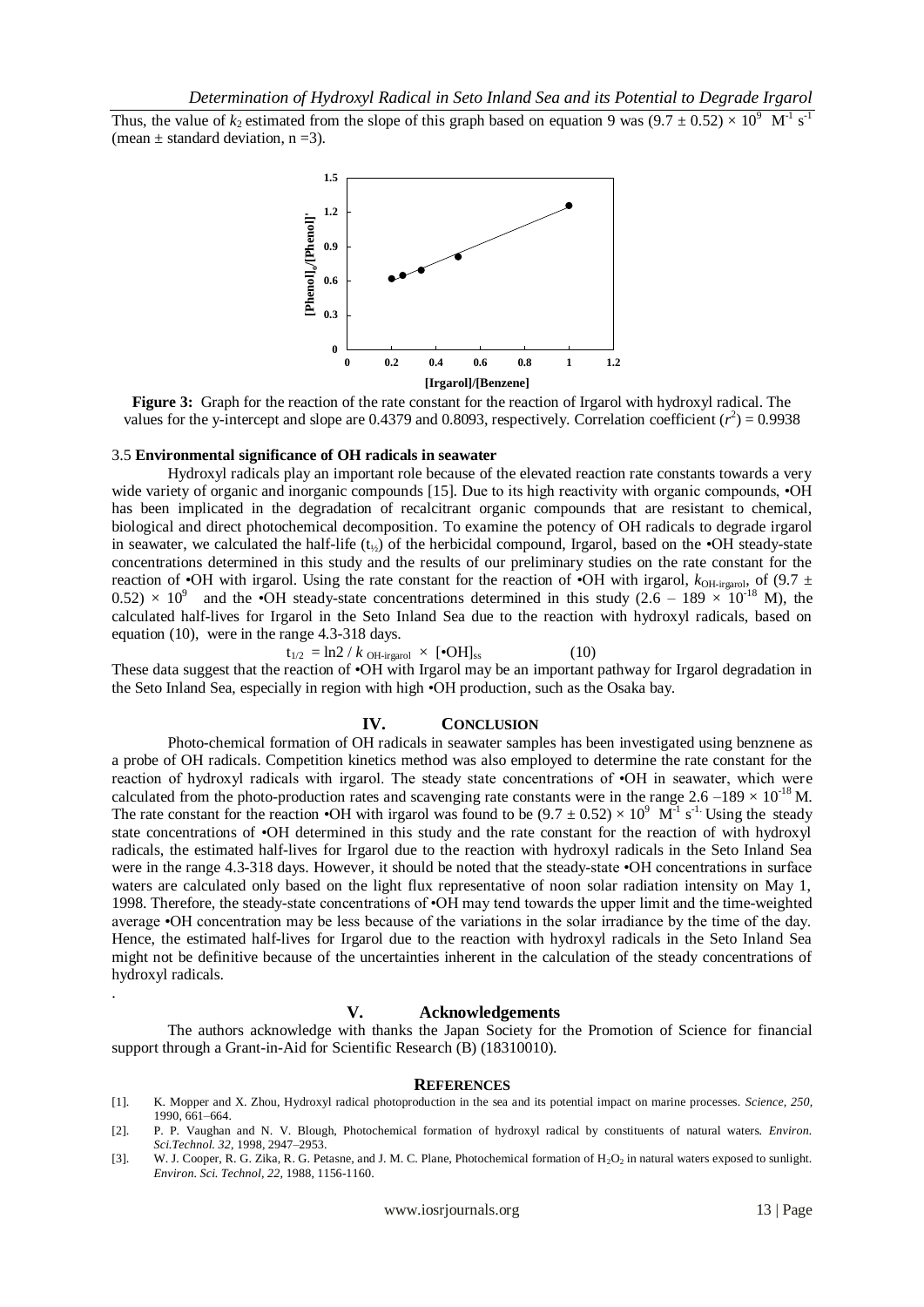Thus, the value of  $k_2$  estimated from the slope of this graph based on equation 9 was  $(9.7 \pm 0.52) \times 10^9$  M<sup>-1</sup> s<sup>-1</sup> (mean  $\pm$  standard deviation, n = 3).



**Figure 3:** Graph for the reaction of the rate constant for the reaction of Irgarol with hydroxyl radical. The values for the y-intercept and slope are 0.4379 and 0.8093, respectively. Correlation coefficient  $(r^2) = 0.9938$ 

## 3.5 **Environmental significance of OH radicals in seawater**

.

Hydroxyl radicals play an important role because of the elevated reaction rate constants towards a very wide variety of organic and inorganic compounds [15]. Due to its high reactivity with organic compounds,  $\cdot$ OH has been implicated in the degradation of recalcitrant organic compounds that are resistant to chemical, biological and direct photochemical decomposition. To examine the potency of OH radicals to degrade irgarol in seawater, we calculated the half-life  $(t_{\gamma})$  of the herbicidal compound, Irgarol, based on the •OH steady-state concentrations determined in this study and the results of our preliminary studies on the rate constant for the reaction of •OH with irgarol. Using the rate constant for the reaction of •OH with irgarol,  $k_{\text{OH-irgarol}}$ , of (9.7  $\pm$  $(0.52) \times 10^9$  and the •OH steady-state concentrations determined in this study (2.6 – 189  $\times 10^{-18}$  M), the calculated half-lives for Irgarol in the Seto Inland Sea due to the reaction with hydroxyl radicals, based on equation (10), were in the range 4.3-318 days.

$$
t_{1/2} = \ln 2 / k_{\text{OH-irgarol}} \times [\text{•OH}]_{\text{ss}} \tag{10}
$$

These data suggest that the reaction of •OH with Irgarol may be an important pathway for Irgarol degradation in the Seto Inland Sea, especially in region with high •OH production, such as the Osaka bay.

## **IV. CONCLUSION**

Photo-chemical formation of OH radicals in seawater samples has been investigated using benznene as a probe of OH radicals. Competition kinetics method was also employed to determine the rate constant for the reaction of hydroxyl radicals with irgarol. The steady state concentrations of •OH in seawater, which were calculated from the photo-production rates and scavenging rate constants were in the range  $2.6 - 189 \times 10^{18}$  M. The rate constant for the reaction •OH with irgarol was found to be  $(9.7 \pm 0.52) \times 10^9$  M<sup>-1</sup> s<sup>-1</sup>. Using the steady state concentrations of •OH determined in this study and the rate constant for the reaction of with hydroxyl radicals, the estimated half-lives for Irgarol due to the reaction with hydroxyl radicals in the Seto Inland Sea were in the range 4.3-318 days. However, it should be noted that the steady-state •OH concentrations in surface waters are calculated only based on the light flux representative of noon solar radiation intensity on May 1, 1998. Therefore, the steady-state concentrations of •OH may tend towards the upper limit and the time-weighted average •OH concentration may be less because of the variations in the solar irradiance by the time of the day. Hence, the estimated half-lives for Irgarol due to the reaction with hydroxyl radicals in the Seto Inland Sea might not be definitive because of the uncertainties inherent in the calculation of the steady concentrations of hydroxyl radicals.

## **V. Acknowledgements**

The authors acknowledge with thanks the Japan Society for the Promotion of Science for financial support through a Grant-in-Aid for Scientific Research (B) (18310010).

#### **REFERENCES**

- [1]. K. Mopper and X. Zhou, Hydroxyl radical photoproduction in the sea and its potential impact on marine processes. *Science, 250,* 1990, 661–664.
- [2]. P. P. Vaughan and N. V. Blough, Photochemical formation of hydroxyl radical by constituents of natural waters. *Environ. Sci.Technol. 32*, 1998, 2947–2953.
- [3]. W. J. Cooper, R. G. Zika, R. G. Petasne, and J. M. C. Plane, Photochemical formation of H<sub>2</sub>O<sub>2</sub> in natural waters exposed to sunlight. *Environ. Sci. Technol, 22,* 1988, 1156-1160.